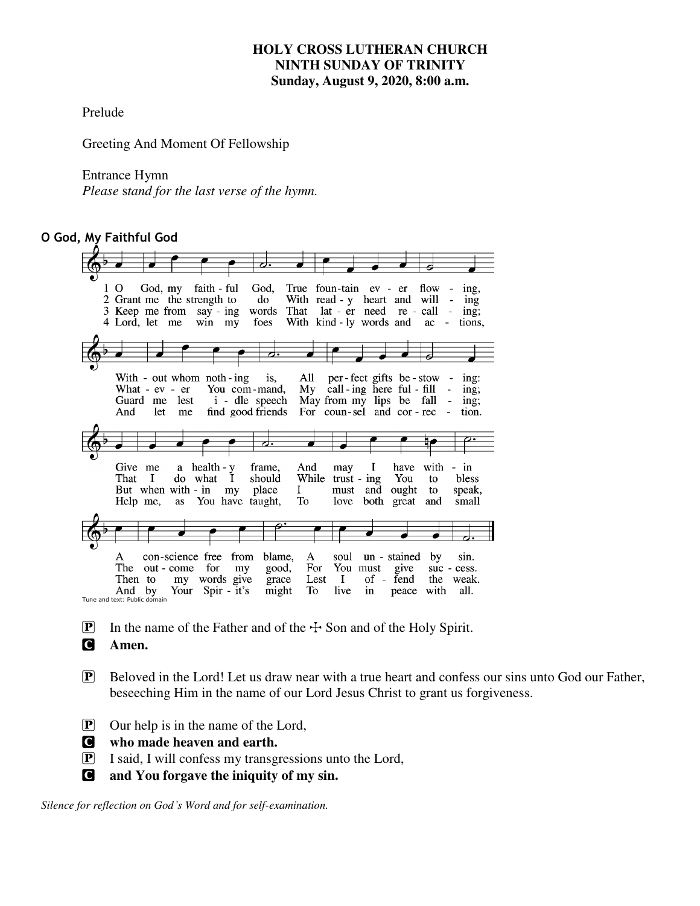# **HOLY CROSS LUTHERAN CHURCH NINTH SUNDAY OF TRINITY Sunday, August 9, 2020, 8:00 a.m.**

Prelude

Greeting And Moment Of Fellowship

### Entrance Hymn

*Please* s*tand for the last verse of the hymn.* 

# **O God, My Faithful God**

| ↗.                                                                                                                                                                                                                                                                                                                                                                                              |
|-------------------------------------------------------------------------------------------------------------------------------------------------------------------------------------------------------------------------------------------------------------------------------------------------------------------------------------------------------------------------------------------------|
| God, True foun-tain ev - er<br>$\Omega$<br>God, my<br>faith - ful<br>flow<br>ing,<br>2 Grant me the strength to<br>do<br>With read - y heart and<br>will<br>$\qquad \qquad \blacksquare$<br>ing<br>words That lat - er need re - call<br>3 Keep me from say - ing<br>$\Box$<br>ing;<br>foes<br>With kind - ly words and<br>4 Lord, let me<br>$win$ $my$<br>ac<br>tions.                         |
|                                                                                                                                                                                                                                                                                                                                                                                                 |
| All<br>per-fect gifts be-stow<br>With - out whom noth - ing<br>1S.<br>$\overline{\phantom{a}}$<br>ing:<br>You com-mand.<br>call-ing here ful - fill<br>Mv<br>What - $ev - er$<br>ing;<br>i - dle speech<br>May from my lips be fall<br>lest<br>Guard me<br>ing;<br>For coun-sel and cor-rec<br>find good friends<br>let<br>And<br>tion.<br>me<br>$\blacksquare$                                 |
| ನ∙                                                                                                                                                                                                                                                                                                                                                                                              |
| a health - y<br>Give<br>Ι.<br>have<br>with<br>frame.<br>And<br>me<br>may<br>$-$ in<br>do what I<br>While<br>That<br>$\mathbf{I}$<br>should<br>You<br>$trust - ing$<br>to<br>bless<br>But when with $\frac{1}{2}$ in my<br>place<br>Ι.<br>and<br>must<br>ought<br>to<br>speak.<br>To<br>You have taught,<br>both<br>love<br>great<br>Help me.<br>as<br>and<br>small                              |
|                                                                                                                                                                                                                                                                                                                                                                                                 |
| con-science free<br>from<br>blame.<br>$\mathbf{A}$<br>soul<br>un - stained<br>by<br>A<br>sin.<br>You must<br>The<br>for<br>good,<br>For<br>give<br>out - come<br>my<br>suc - cess.<br>my words give<br>Lest<br><b>I</b><br>of - fend<br>grace<br>the<br>Then to<br>weak.<br>Your Spir - it's<br>might<br>To<br>live<br>with<br>all.<br>And<br>by<br>in<br>peace<br>Tune and text: Public domain |

- **P** In the name of the Father and of the  $\div$  Son and of the Holy Spirit.
- C **Amen.**
- P Beloved in the Lord! Let us draw near with a true heart and confess our sins unto God our Father, beseeching Him in the name of our Lord Jesus Christ to grant us forgiveness.
- P Our help is in the name of the Lord,
- C **who made heaven and earth.**
- P I said, I will confess my transgressions unto the Lord,
- C **and You forgave the iniquity of my sin.**

*Silence for reflection on God's Word and for self-examination.*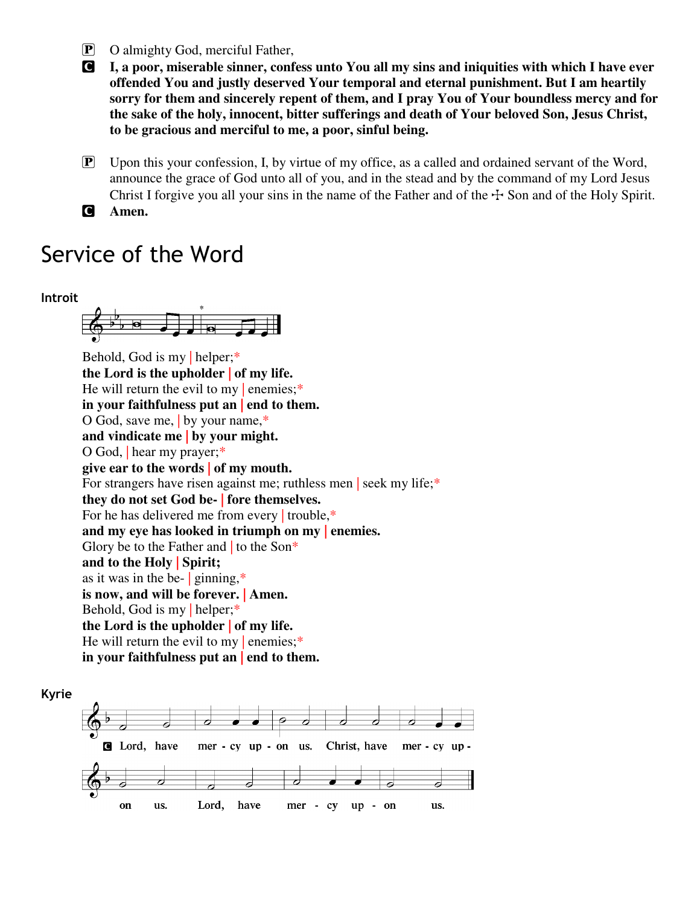- P O almighty God, merciful Father,
- C **I, a poor, miserable sinner, confess unto You all my sins and iniquities with which I have ever offended You and justly deserved Your temporal and eternal punishment. But I am heartily sorry for them and sincerely repent of them, and I pray You of Your boundless mercy and for the sake of the holy, innocent, bitter sufferings and death of Your beloved Son, Jesus Christ, to be gracious and merciful to me, a poor, sinful being.**
- $\boxed{\mathbf{P}}$  Upon this your confession, I, by virtue of my office, as a called and ordained servant of the Word, announce the grace of God unto all of you, and in the stead and by the command of my Lord Jesus Christ I forgive you all your sins in the name of the Father and of the  $\pm$  Son and of the Holy Spirit.
- C **Amen.**

# Service of the Word



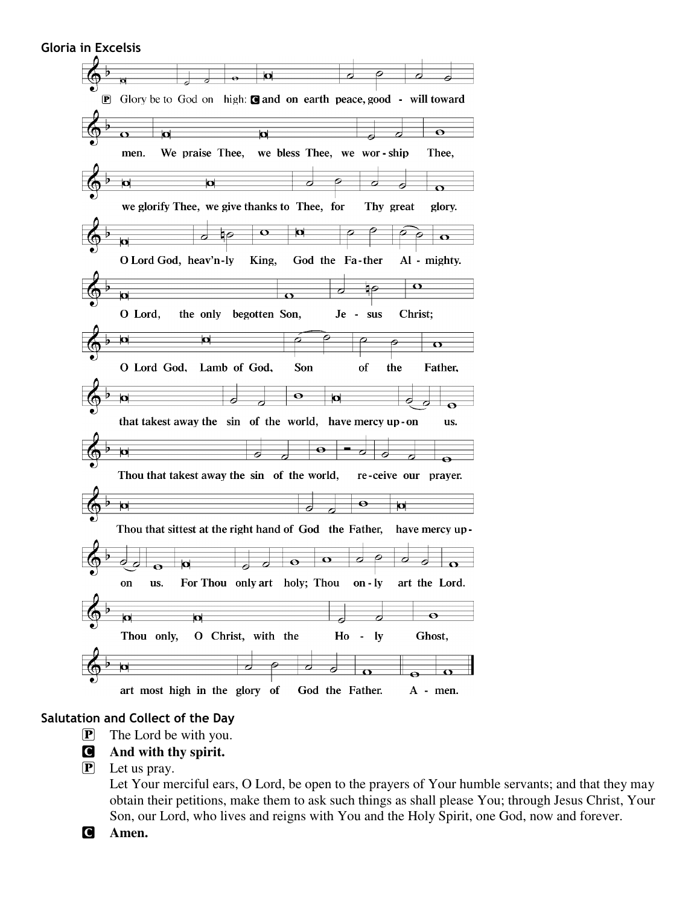| <b>Gloria in Excelsis</b> |                                                                          |
|---------------------------|--------------------------------------------------------------------------|
|                           |                                                                          |
|                           | $\boldsymbol{\Omega}$<br>⊖                                               |
| $ {\bf P} $               | Glory be to God on high: <b>@</b> and on earth peace, good - will toward |
|                           |                                                                          |
|                           | $\bullet$<br>$\overline{\mathbf{a}}$<br>d<br>Ō                           |
|                           | We praise Thee,<br>we bless Thee, we wor-ship<br>Thee,<br>men.           |
|                           |                                                                          |
|                           | ø<br>σ<br>$\Omega$                                                       |
|                           | we glorify Thee, we give thanks to Thee, for<br>Thy great<br>glory.      |
|                           | O<br>$\mathbf o$                                                         |
|                           | o<br>О                                                                   |
|                           | O Lord God, heav'n-ly<br>King,<br>God the Fa-ther<br>Al - mighty.        |
|                           | $\mathbf \Omega$                                                         |
|                           | ы<br>$\Omega$                                                            |
|                           | O Lord,<br>the only begotten Son,<br>$Je -$<br>sus<br>Christ;            |
|                           | Ю<br>Ω                                                                   |
|                           | $\mathbf \sigma$                                                         |
|                           | O Lord God, Lamb of God,<br>Son<br>the<br>of<br>Father,                  |
|                           | 0                                                                        |
|                           | $\overline{\mathbf{p}}$<br>Þ<br>6<br>Θ                                   |
|                           | that takest away the sin of the world, have mercy up-on<br>us.           |
|                           | Θ                                                                        |
|                           | п<br>Ō<br>6<br>$\ddot{\phantom{1}}$                                      |
|                           | Thou that takest away the sin of the world,<br>re-ceive our<br>prayer.   |
|                           | $\bullet$                                                                |
|                           | ¤<br>о<br>0                                                              |
|                           | Thou that sittest at the right hand of God the Father,<br>have mercy up- |
|                           |                                                                          |
|                           | $\mathbf o$<br>Ο<br>$\bullet$<br>σ<br>N<br>O<br>$\overline{\mathbf{O}}$  |
|                           | For Thou only art holy; Thou on - ly<br>art the Lord.<br>on<br>us.       |
|                           |                                                                          |
|                           | $\bullet$<br>bt<br><b>d</b><br>Ο<br>r,                                   |
|                           | O Christ, with the<br>$Ho - ly$<br>Thou only,<br>Ghost,                  |
|                           |                                                                          |
|                           | ø<br>σ<br>$\boldsymbol{\sigma}$<br>0<br>⊖                                |
|                           | art most high in the glory of<br>God the Father.<br>A - men.             |

# **Salutation and Collect of the Day**

- P The Lord be with you.
- C **And with thy spirit.**
- P Let us pray.

Let Your merciful ears, O Lord, be open to the prayers of Your humble servants; and that they may obtain their petitions, make them to ask such things as shall please You; through Jesus Christ, Your Son, our Lord, who lives and reigns with You and the Holy Spirit, one God, now and forever.

C **Amen.**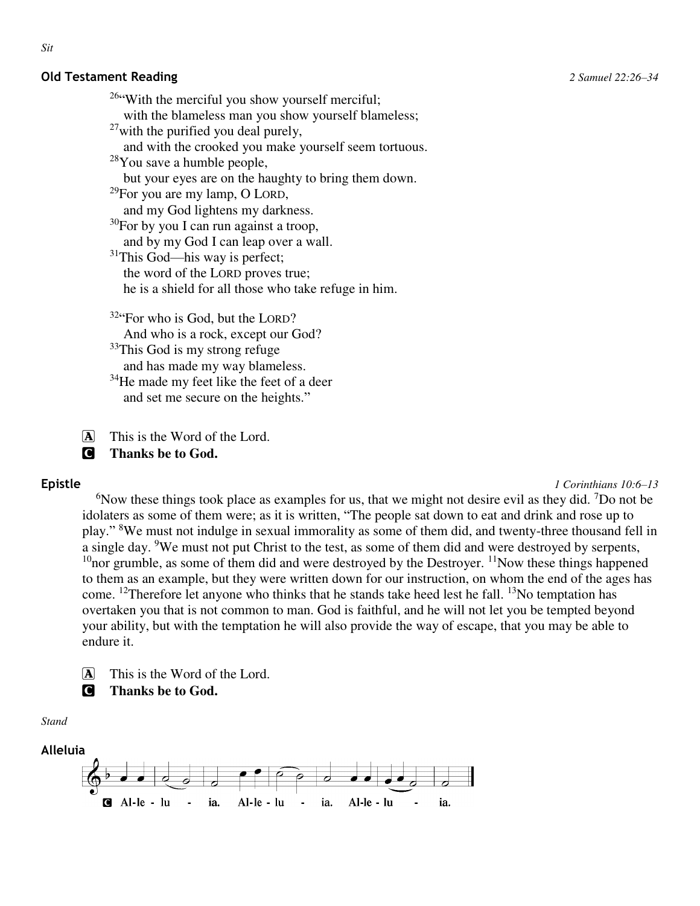### **Old Testament Reading** *2 Samuel 22:26–34*

<sup>26</sup> With the merciful you show yourself merciful; with the blameless man you show yourself blameless;  $27$  with the purified you deal purely, and with the crooked you make yourself seem tortuous.  $28$ You save a humble people, but your eyes are on the haughty to bring them down. <sup>29</sup>For you are my lamp, O LORD, and my God lightens my darkness.  $30$ For by you I can run against a troop, and by my God I can leap over a wall. <sup>31</sup>This God—his way is perfect; the word of the LORD proves true; he is a shield for all those who take refuge in him. <sup>32</sup> For who is God, but the LORD? And who is a rock, except our God? <sup>33</sup>This God is my strong refuge and has made my way blameless. <sup>34</sup>He made my feet like the feet of a deer

and set me secure on the heights."

A This is the Word of the Lord.

C **Thanks be to God.** 

**Epistle** *1 Corinthians 10:6–13*

<sup>6</sup>Now these things took place as examples for us, that we might not desire evil as they did. <sup>7</sup>Do not be idolaters as some of them were; as it is written, "The people sat down to eat and drink and rose up to play." <sup>8</sup>We must not indulge in sexual immorality as some of them did, and twenty-three thousand fell in a single day. <sup>9</sup>We must not put Christ to the test, as some of them did and were destroyed by serpents, <sup>10</sup> nor grumble, as some of them did and were destroyed by the Destroyer. <sup>11</sup> Now these things happened to them as an example, but they were written down for our instruction, on whom the end of the ages has come. <sup>12</sup>Therefore let anyone who thinks that he stands take heed lest he fall. <sup>13</sup>No temptation has overtaken you that is not common to man. God is faithful, and he will not let you be tempted beyond your ability, but with the temptation he will also provide the way of escape, that you may be able to endure it.



C **Thanks be to God.** 

*Stand* 

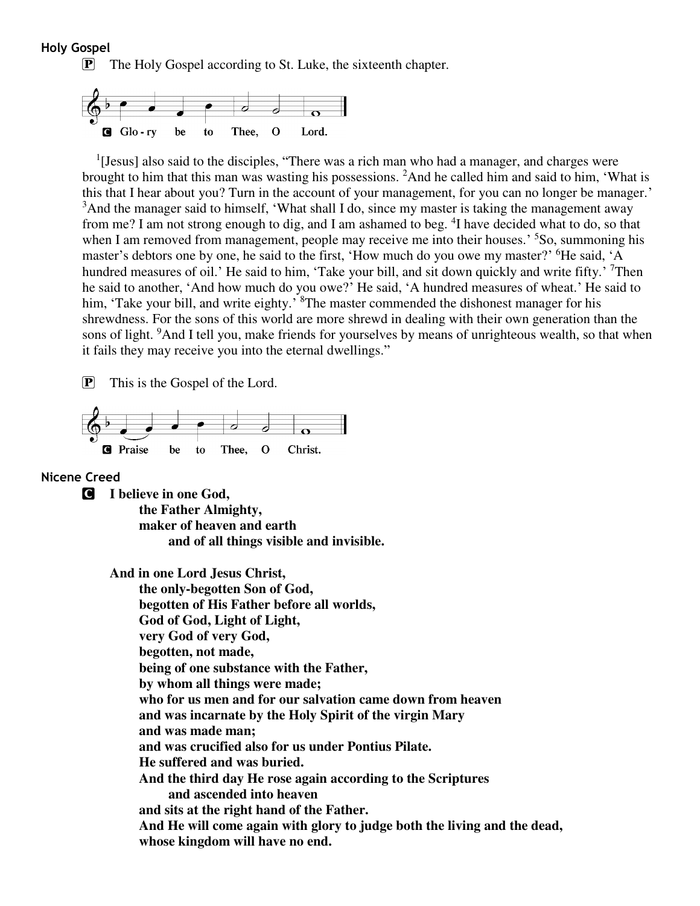#### **Holy Gospel**

P The Holy Gospel according to St. Luke, the sixteenth chapter.



<sup>1</sup>[Jesus] also said to the disciples, "There was a rich man who had a manager, and charges were brought to him that this man was wasting his possessions. <sup>2</sup>And he called him and said to him, 'What is this that I hear about you? Turn in the account of your management, for you can no longer be manager.' <sup>3</sup>And the manager said to himself, 'What shall I do, since my master is taking the management away from me? I am not strong enough to dig, and I am ashamed to beg. <sup>4</sup>I have decided what to do, so that when I am removed from management, people may receive me into their houses.' <sup>5</sup>So, summoning his master's debtors one by one, he said to the first, 'How much do you owe my master?' <sup>6</sup>He said, 'A hundred measures of oil.' He said to him, 'Take your bill, and sit down quickly and write fifty.' <sup>7</sup>Then he said to another, 'And how much do you owe?' He said, 'A hundred measures of wheat.' He said to him, 'Take your bill, and write eighty.' <sup>8</sup>The master commended the dishonest manager for his shrewdness. For the sons of this world are more shrewd in dealing with their own generation than the sons of light. <sup>9</sup>And I tell you, make friends for yourselves by means of unrighteous wealth, so that when it fails they may receive you into the eternal dwellings."

P This is the Gospel of the Lord.



#### **Nicene Creed**

C **I believe in one God,** 

 **the Father Almighty, maker of heaven and earth and of all things visible and invisible.** 

**And in one Lord Jesus Christ, the only-begotten Son of God, begotten of His Father before all worlds, God of God, Light of Light, very God of very God, begotten, not made, being of one substance with the Father, by whom all things were made; who for us men and for our salvation came down from heaven and was incarnate by the Holy Spirit of the virgin Mary and was made man; and was crucified also for us under Pontius Pilate. He suffered and was buried. And the third day He rose again according to the Scriptures and ascended into heaven and sits at the right hand of the Father. And He will come again with glory to judge both the living and the dead, whose kingdom will have no end.**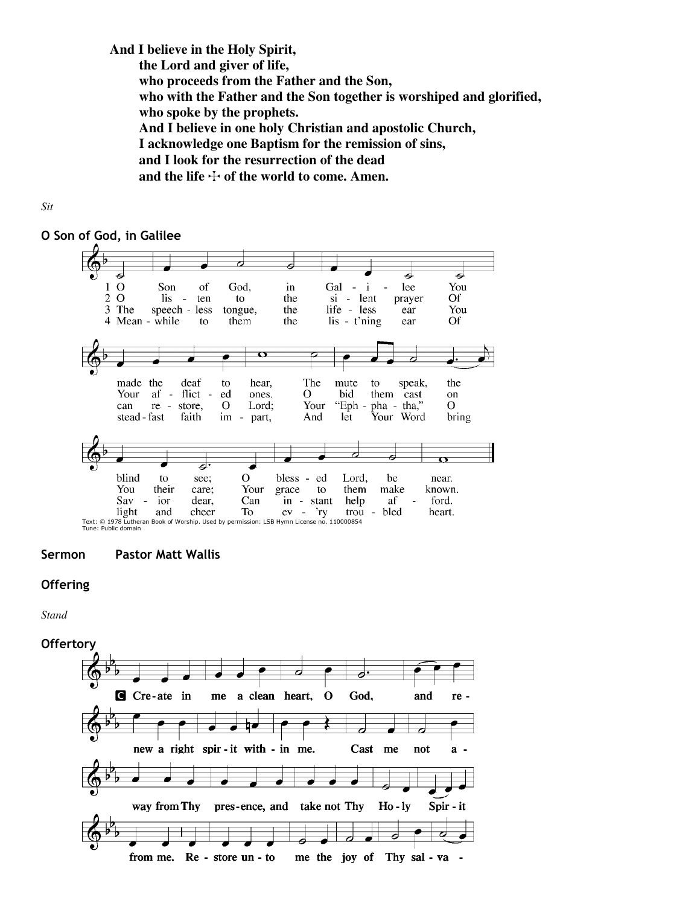**And I believe in the Holy Spirit,** 

 **the Lord and giver of life,** 

 **who proceeds from the Father and the Son,** 

 **who with the Father and the Son together is worshiped and glorified, who spoke by the prophets.** 

 **And I believe in one holy Christian and apostolic Church,** 

 **I acknowledge one Baptism for the remission of sins,** 

 **and I look for the resurrection of the dead** 

and the life  $\div$  of the world to come. Amen.



# **O Son of God, in Galilee**



**Sermon Pastor Matt Wallis** 

# **Offering**

*Stand* 

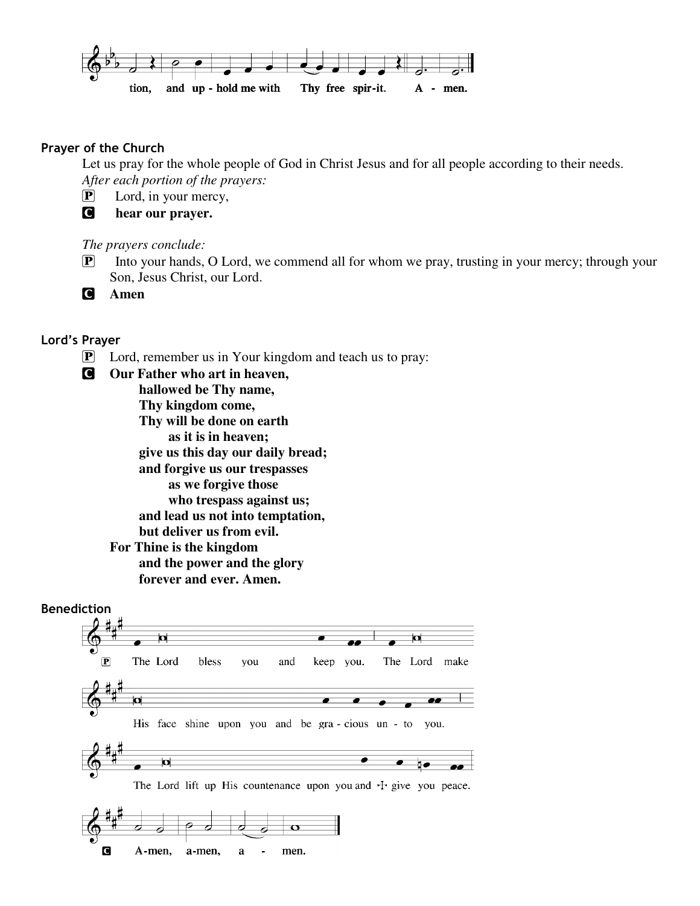

# **Prayer of the Church**

Let us pray for the whole people of God in Christ Jesus and for all people according to their needs. *After each portion of the prayers:* 

P Lord, in your mercy,

C **hear our prayer.** 

*The prayers conclude:* 

**P** Into your hands, O Lord, we commend all for whom we pray, trusting in your mercy; through your Son, Jesus Christ, our Lord.

C **Amen** 

# **Lord's Prayer**

- P Lord, remember us in Your kingdom and teach us to pray:
- C **Our Father who art in heaven, hallowed be Thy name, Thy kingdom come, Thy will be done on earth as it is in heaven; give us this day our daily bread; and forgive us our trespasses as we forgive those who trespass against us; and lead us not into temptation, but deliver us from evil. For Thine is the kingdom and the power and the glory forever and ever. Amen.**